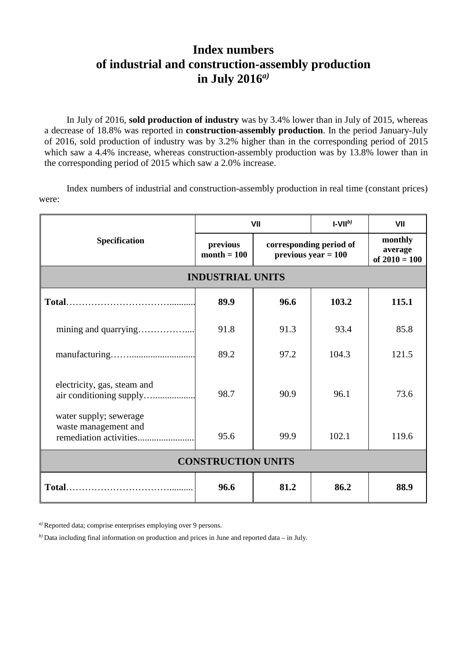## **Index numbers of industrial and construction-assembly production in July 2016***a)*

In July of 2016, **sold production of industry** was by 3.4% lower than in July of 2015, whereas a decrease of 18.8% was reported in **construction-assembly production**. In the period January-July of 2016, sold production of industry was by 3.2% higher than in the corresponding period of 2015 which saw a 4.4% increase, whereas construction-assembly production was by 13.8% lower than in the corresponding period of 2015 which saw a 2.0% increase.

Index numbers of industrial and construction-assembly production in real time (constant prices) were:

| <b>Specification</b>                                   | VII                       |                                                  | $I-VIIb$ | VII                                   |
|--------------------------------------------------------|---------------------------|--------------------------------------------------|----------|---------------------------------------|
|                                                        | previous<br>$month = 100$ | corresponding period of<br>$previous year = 100$ |          | monthly<br>average<br>of $2010 = 100$ |
| <b>INDUSTRIAL UNITS</b>                                |                           |                                                  |          |                                       |
|                                                        | 89.9                      | 96.6                                             | 103.2    | 115.1                                 |
|                                                        | 91.8                      | 91.3                                             | 93.4     | 85.8                                  |
|                                                        | 89.2                      | 97.2                                             | 104.3    | 121.5                                 |
| electricity, gas, steam and<br>air conditioning supply | 98.7                      | 90.9                                             | 96.1     | 73.6                                  |
| water supply; sewerage<br>waste management and         | 95.6                      | 99.9                                             | 102.1    | 119.6                                 |
| <b>CONSTRUCTION UNITS</b>                              |                           |                                                  |          |                                       |
|                                                        | 96.6                      | 81.2                                             | 86.2     | 88.9                                  |

*a)* Reported data; comprise enterprises employing over 9 persons.

*b)* Data including final information on production and prices in June and reported data – in July.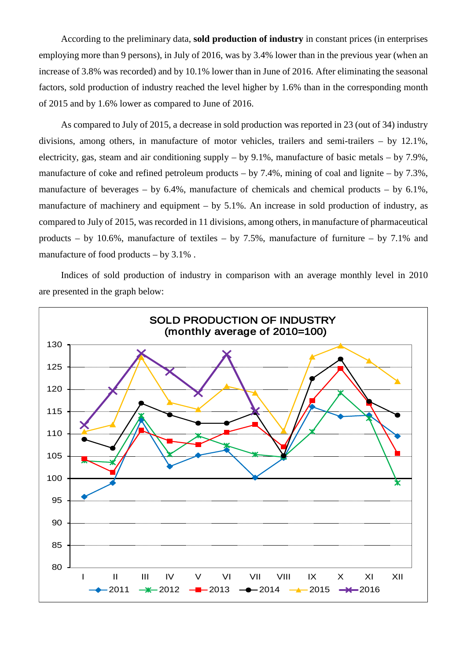According to the preliminary data, **sold production of industry** in constant prices (in enterprises employing more than 9 persons), in July of 2016, was by 3.4% lower than in the previous year (when an increase of 3.8% was recorded) and by 10.1% lower than in June of 2016. After eliminating the seasonal factors, sold production of industry reached the level higher by 1.6% than in the corresponding month of 2015 and by 1.6% lower as compared to June of 2016.

As compared to July of 2015, a decrease in sold production was reported in 23 (out of 34) industry divisions, among others, in manufacture of motor vehicles, trailers and semi-trailers – by 12.1%, electricity, gas, steam and air conditioning supply – by 9.1%, manufacture of basic metals – by 7.9%, manufacture of coke and refined petroleum products – by 7.4%, mining of coal and lignite – by 7.3%, manufacture of beverages – by  $6.4\%$ , manufacture of chemicals and chemical products – by  $6.1\%$ , manufacture of machinery and equipment – by 5.1%. An increase in sold production of industry, as compared to July of 2015, was recorded in 11 divisions, among others, in manufacture of pharmaceutical products – by 10.6%, manufacture of textiles – by 7.5%, manufacture of furniture – by 7.1% and manufacture of food products – by 3.1% .

Indices of sold production of industry in comparison with an average monthly level in 2010 are presented in the graph below: